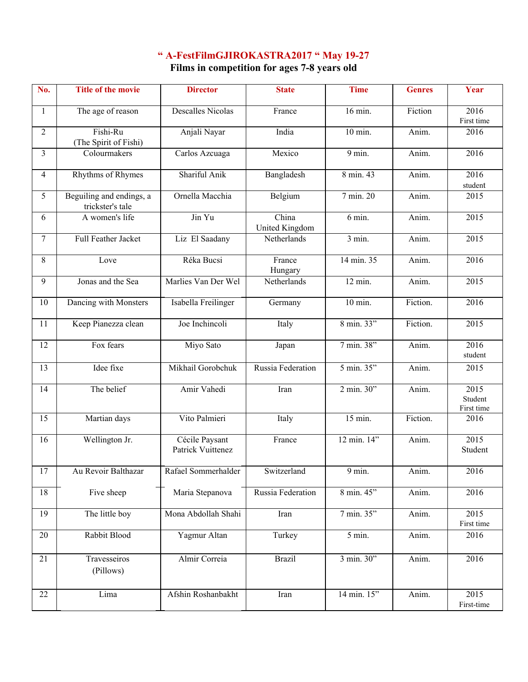## **" A-FestFilmGJIROKASTRA2017 " May 19-27**

**Films in competition for ages 7-8 years old**

| No.            | <b>Title of the movie</b>                    | <b>Director</b>                     | <b>State</b>                   | <b>Time</b>          | <b>Genres</b> | Year                          |
|----------------|----------------------------------------------|-------------------------------------|--------------------------------|----------------------|---------------|-------------------------------|
| 1              | The age of reason                            | <b>Descalles Nicolas</b>            | France                         | 16 min.              | Fiction       | 2016<br>First time            |
| $\overline{2}$ | $Fishi-Ru$<br>(The Spirit of Fishi)          | Anjali Nayar                        | India                          | $10$ min.            | Anim.         | 2016                          |
| $\overline{3}$ | Colourmakers                                 | Carlos Azcuaga                      | Mexico                         | 9 min.               | Anim.         | 2016                          |
| 4              | Rhythms of Rhymes                            | Shariful Anik                       | Bangladesh                     | 8 min. 43            | Anim.         | 2016<br>student               |
| 5              | Beguiling and endings, a<br>trickster's tale | Ornella Macchia                     | Belgium                        | 7 min. 20            | Anim.         | 2015                          |
| 6              | A women's life                               | Jin Yu                              | China<br><b>United Kingdom</b> | 6 min.               | Anim.         | 2015                          |
| 7              | Full Feather Jacket                          | Liz El Saadany                      | Netherlands                    | 3 min.               | Anim.         | 2015                          |
| 8              | Love                                         | Réka Bucsi                          | France<br>Hungary              | 14 min. 35           | Anim.         | 2016                          |
| 9              | Jonas and the Sea                            | Marlies Van Der Wel                 | Netherlands                    | $12 \text{ min.}$    | Anim.         | $\overline{2015}$             |
| 10             | Dancing with Monsters                        | Isabella Freilinger                 | Germany                        | $10$ min.            | Fiction.      | 2016                          |
| 11             | Keep Pianezza clean                          | Joe Inchincoli                      | Italy                          | 8 min. 33"           | Fiction.      | 2015                          |
| 12             | Fox fears                                    | Miyo Sato                           | Japan                          | 7 min. 38"           | Anim.         | 2016<br>student               |
| 13             | Idee fixe                                    | Mikhail Gorobchuk                   | Russia Federation              | 5 min. 35"           | Anim.         | 2015                          |
| 14             | The belief                                   | Amir Vahedi                         | Iran                           | $2 \text{ min. } 30$ | Anim.         | 2015<br>Student<br>First time |
| 15             | Martian days                                 | Vito Palmieri                       | Italy                          | 15 min.              | Fiction.      | 2016                          |
| 16             | Wellington Jr.                               | Cécile Paysant<br>Patrick Vuittenez | France                         | 12 min. 14"          | Anim.         | 2015<br>Student               |
| 17             | Au Revoir Balthazar                          | Rafael Sommerhalder                 | Switzerland                    | 9 min.               | Anim.         | 2016                          |
| 18             | Five sheep                                   | Maria Stepanova                     | Russia Federation              | 8 min. 45"           | Anim.         | 2016                          |
| 19             | The little boy                               | Mona Abdollah Shahi                 | Iran                           | 7 min. 35"           | Anim.         | 2015<br>First time            |
| 20             | Rabbit Blood                                 | Yagmur Altan                        | Turkey                         | $\overline{5}$ min.  | Anim.         | 2016                          |
| 21             | Travesseiros<br>(Pillows)                    | Almir Correia                       | <b>Brazil</b>                  | 3 min. 30"           | Anim.         | 2016                          |
| 22             | Lima                                         | Afshin Roshanbakht                  | Iran                           | 14 min. 15"          | Anim.         | 2015<br>First-time            |